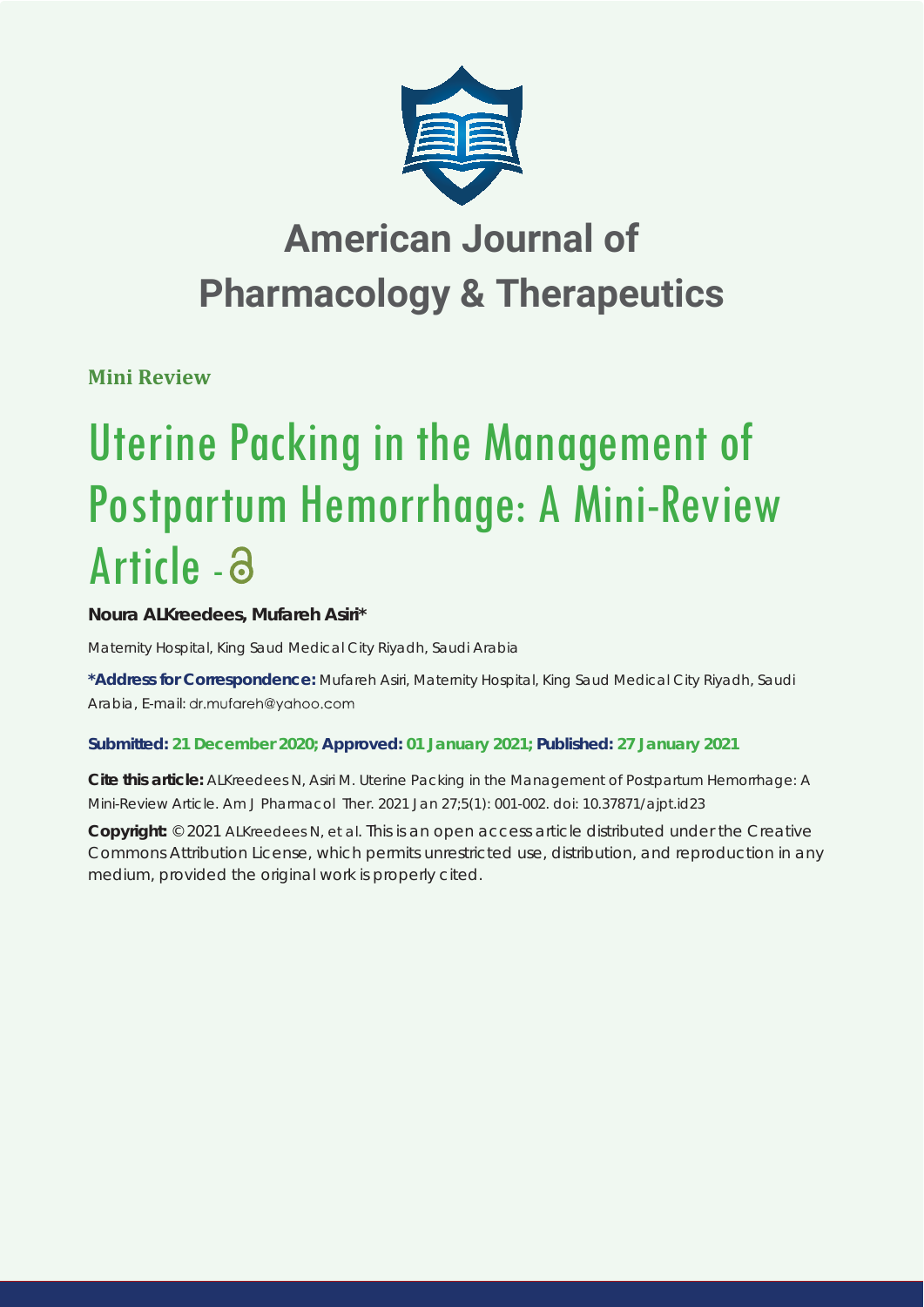

## **American Journal of Pharmacology & Therapeutics**

**Mini Review**

# Uterine Packing in the Management of Postpartum Hemorrhage: A Mini-Review Article - a

### **Noura ALKreedees, Mufareh Asiri\***

*Maternity Hospital, King Saud Medical City Riyadh, Saudi Arabia* 

**\*Address for Correspondence:** Mufareh Asiri, Maternity Hospital, King Saud Medical City Riyadh, Saudi Arabia, E-mail: dr.mufareh@yahoo.com

#### **Submitted: 21 December 2020; Approved: 01 January 2021; Published: 27 January 2021**

**Cite this article:** ALKreedees N, Asiri M. Uterine Packing in the Management of Postpartum Hemorrhage: A Mini-Review Article. Am J Pharmacol Ther. 2021 Jan 27;5(1): 001-002. doi: 10.37871/ajpt.id23

**Copyright:** © 2021 ALKreedees N, et al. This is an open access article distributed under the Creative Commons Attribution License, which permits unrestricted use, distribution, and reproduction in any medium, provided the original work is properly cited.